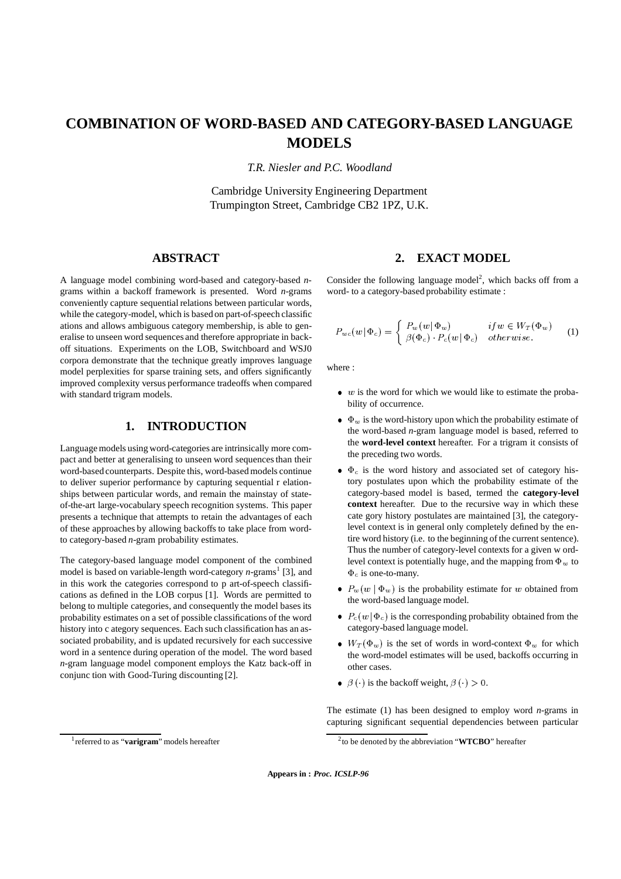# **COMBINATION OF WORD-BASED AND CATEGORY-BASED LANGUAGE MODELS**

*T.R. Niesler and P.C. Woodland*

Cambridge University Engineering Department Trumpington Street, Cambridge CB2 1PZ, U.K.

## **ABSTRACT**

A language model combining word-based and category-based *n*grams within a backoff framework is presented. Word *n*-grams conveniently capture sequential relations between particular words, while the category-model, which is based on part-of-speech classific ations and allows ambiguous category membership, is able to generalise to unseen word sequences and therefore appropriate in backoff situations. Experiments on the LOB, Switchboard and WSJ0 corpora demonstrate that the technique greatly improves language model perplexities for sparse training sets, and offers significantly improved complexity versus performance tradeoffs when compared with standard trigram models.

#### **1. INTRODUCTION**

Languagemodels using word-categories are intrinsically more compact and better at generalising to unseen word sequences than their word-based counterparts. Despite this, word-based models continue to deliver superior performance by capturing sequential r elationships between particular words, and remain the mainstay of stateof-the-art large-vocabulary speech recognition systems. This paper presents a technique that attempts to retain the advantages of each of these approaches by allowing backoffs to take place from wordto category-based *n*-gram probability estimates.

The category-based language model component of the combined model is based on variable-length word-category *n*-grams<sup>1</sup> [3], and in this work the categories correspond to p art-of-speech classifications as defined in the LOB corpus [1]. Words are permitted to belong to multiple categories, and consequently the model bases its probability estimates on a set of possible classifications of the word history into c ategory sequences. Each such classification has an associated probability, and is updated recursively for each successive word in a sentence during operation of the model. The word based *n*-gram language model component employs the Katz back-off in conjunc tion with Good-Turing discounting [2].

## **2. EXACT MODEL**

Consider the following language model<sup>2</sup>, which backs off from a word- to a category-based probability estimate :

$$
P_{wc}(w|\Phi_c) = \begin{cases} P_w(w|\Phi_w) & if w \in W_T(\Phi_w) \\ \beta(\Phi_c) \cdot P_c(w|\Phi_c) & otherwise. \end{cases}
$$
 (1)

where :

- $\bullet$  w is the word for which we would like to estimate the probability of occurrence.
- $\bullet$   $\Phi_w$  is the word-history upon which the probability estimate of the word-based *n*-gram language model is based, referred to the **word-level context** hereafter. For a trigram it consists of the preceding two words.
- $\bullet$   $\Phi_c$  is the word history and associated set of category history postulates upon which the probability estimate of the category-based model is based, termed the **category-level context** hereafter. Due to the recursive way in which these cate gory history postulates are maintained [3], the categorylevel context is in general only completely defined by the entire word history (i.e. to the beginning of the current sentence). Thus the number of category-level contexts for a given w ordlevel context is potentially huge, and the mapping from  $\Phi_w$  to  $\Phi_c$  is one-to-many.
- $P_w(w | \Phi_w)$  is the probability estimate for w obtained from the word-based language model.
- $P_c(w | \Phi_c)$  is the corresponding probability obtained from the category-based language model.
- $W_T(\Phi_w)$  is the set of words in word-context  $\Phi_w$  for which the word-model estimates will be used, backoffs occurring in other cases.
- $\theta$   $\beta$  ( $\cdot$ ) is the backoff weight,  $\beta$  ( $\cdot$ ) > 0.

The estimate (1) has been designed to employ word *n*-grams in capturing significant sequential dependencies between particular

**Appears in :** *Proc. ICSLP-96*

<sup>1</sup> referred to as "**varigram**" models hereafter

<sup>2</sup> to be denoted by the abbreviation "**WTCBO**" hereafter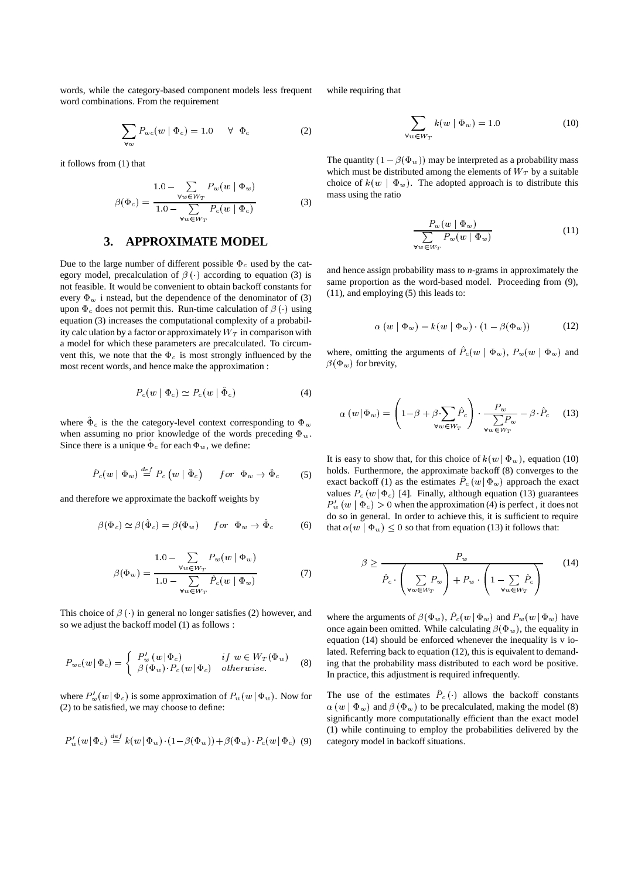words, while the category-based component models less frequent word combinations. From the requirement

$$
\sum_{\forall w} P_{wc}(w \mid \Phi_c) = 1.0 \quad \forall \Phi_c \tag{2}
$$

it follows from (1) that

$$
\beta(\Phi_c) = \frac{1.0 - \sum_{\forall w \in W_T} P_w(w \mid \Phi_w)}{1.0 - \sum_{\forall w \in W_T} P_c(w \mid \Phi_c)}
$$
(3)

## **3. APPROXIMATE MODEL**

Due to the large number of different possible  $\Phi_c$  used by the category model, precalculation of  $\beta$  ( $\cdot$ ) according to equation (3) is not feasible. It would be convenient to obtain backoff constants for every  $\Phi_w$  i nstead, but the dependence of the denominator of (3) upon  $\Phi_c$  does not permit this. Run-time calculation of  $\beta$  ( $\cdot$ ) using equation (3) increases the computational complexity of a probability calc ulation by a factor or approximately  $W_T$  in comparison with a model for which these parameters are precalculated. To circumvent this, we note that the  $\Phi_c$  is most strongly influenced by the most recent words, and hence make the approximation :

$$
P_c(w | \Phi_c) \simeq P_c(w | \tilde{\Phi}_c) \tag{4}
$$

where  $\Phi_c$  is the the category-level context corresponding to  $\Phi_w$ when assuming no prior knowledge of the words preceding  $\Phi_w$ . Since there is a unique  $\Phi_c$  for each  $\Phi_w$ , we define:

$$
\hat{P}_c(w \mid \Phi_w) \stackrel{def}{=} P_c(w \mid \hat{\Phi}_c) \qquad \text{for} \ \ \Phi_w \to \hat{\Phi}_c \tag{5}
$$

and therefore we approximate the backoff weights by

$$
\beta(\Phi_c) \simeq \beta(\hat{\Phi}_c) = \beta(\Phi_w) \quad for \ \Phi_w \to \hat{\Phi}_c \tag{6}
$$

$$
\beta(\Phi_w) = \frac{1.0 - \sum_{\forall w \in W_T} P_w(w \mid \Phi_w)}{1.0 - \sum_{\forall w \in W_T} \hat{P}_c(w \mid \Phi_w)}
$$
(7)

This choice of  $\beta(\cdot)$  in general no longer satisfies (2) however, and so we adjust the backoff model (1) as follows :

$$
P_{wc}(w | \Phi_c) = \begin{cases} P_w'(w | \Phi_c) & \text{if } w \in W_T(\Phi_w) \\ \beta(\Phi_w) \cdot P_c(w | \Phi_c) & \text{otherwise.} \end{cases}
$$
(8)

where  $P_w'(w | \Phi_c)$  is some approximation of  $P_w(w | \Phi_w)$ . Now for (2) to be satisfied, we may choose to define:

$$
P_w'(w | \Phi_c) \stackrel{def}{=} k(w | \Phi_w) \cdot (1 - \beta(\Phi_w)) + \beta(\Phi_w) \cdot P_c(w | \Phi_c) \quad (9) \qquad c
$$

while requiring that

$$
\sum_{\forall w \in W_T} k(w \mid \Phi_w) = 1.0 \tag{10}
$$

The quantity  $(1 - \beta(\Phi_w))$  may be interpreted as a probability mass which must be distributed among the elements of  $W_T$  by a suitable choice of  $k(w | \Phi_w)$ . The adopted approach is to distribute this mass using the ratio

$$
\frac{P_w(w | \Phi_w)}{\sum_{\forall w \in W_T} P_w(w | \Phi_w)}
$$
(11)

and hence assign probability mass to *n*-grams in approximately the same proportion as the word-based model. Proceeding from (9), (11), and employing (5) this leads to:

$$
\alpha (w | \Phi_w) = k(w | \Phi_w) \cdot (1 - \beta(\Phi_w)) \tag{12}
$$

where, omitting the arguments of  $P_c(w | \Phi_w)$ ,  $P_w(w | \Phi_w)$  and  $\beta$ ( $\Phi_w$ ) for brevity.

$$
\alpha(w \mid \Phi_w) = \left(1 - \beta + \beta \sum_{\forall w \in W_T} \hat{P}_c\right) \cdot \frac{P_w}{\sum_{\forall w \in W_T} P_w} - \beta \cdot \hat{P}_c \tag{13}
$$

 $f(x, \phi)$   $f(x, \phi)$   $\rightarrow$   $\hat{\phi}$   $(5)$  holds. Furthermore, the approximate backoff (8) converges to the It is easy to show that, for this choice of  $k(w | \Phi_w)$ , equation (10) exact backoff (1) as the estimates  $P_c(w|\Phi_w)$  approach the exact values  $P_c(w | \Phi_c)$  [4]. Finally, although equation (13) guarantees  $P_w'(w | \Phi_c) > 0$  when the approximation (4) is perfect, it does not do so in general. In order to achieve this, it is sufficient to require that  $\alpha(w | \Phi_w) \leq 0$  so that from equation (13) it follows that:

$$
\beta \ge \frac{P_w}{\hat{P}_c \cdot \left(\sum_{\forall w \in W_T} P_w\right) + P_w \cdot \left(1 - \sum_{\forall w \in W_T} \hat{P}_c\right)}\tag{14}
$$

where the arguments of  $\beta(\Phi_w)$ ,  $\hat{P}_c(w | \Phi_w)$  and  $P_w(w | \Phi_w)$  have once again been omitted. While calculating  $\beta(\Phi_w)$ , the equality in equation (14) should be enforced whenever the inequality is v iolated. Referring back to equation (12), this is equivalent to demanding that the probability mass distributed to each word be positive. In practice, this adjustment is required infrequently.

The use of the estimates  $P_c(\cdot)$  allows the backoff constants  $\alpha(w | \Phi_w)$  and  $\beta(\Phi_w)$  to be precalculated, making the model (8) significantly more computationally efficient than the exact model (1) while continuing to employ the probabilities delivered by the category model in backoff situations.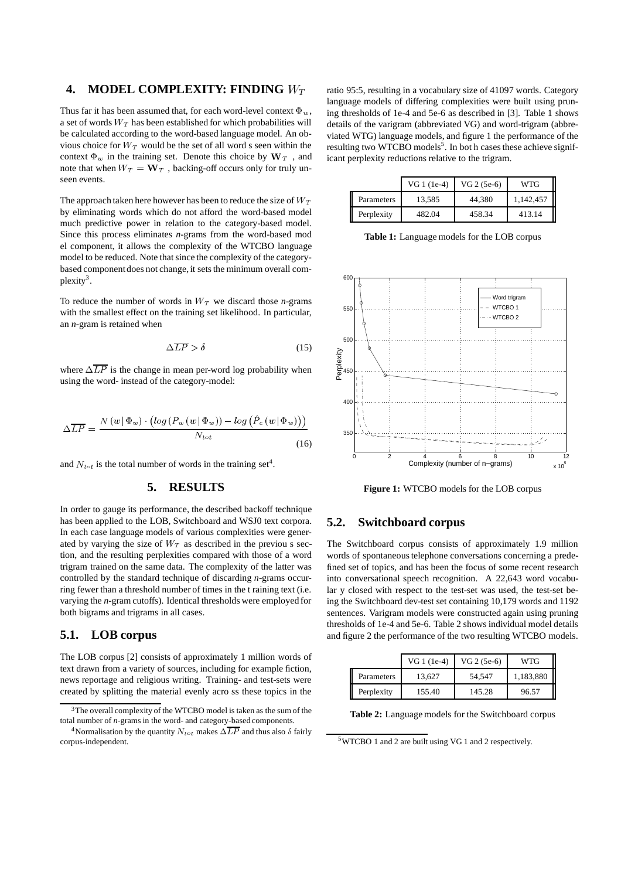# **4. MODEL COMPLEXITY: FINDING**  $W_T$

Thus far it has been assumed that, for each word-level context  $\Phi_w$ , a set of words  $W_T$  has been established for which probabilities will be calculated according to the word-based language model. An obvious choice for  $W_T$  would be the set of all word s seen within the context  $\Phi_w$  in the training set. Denote this choice by  $W_T$ , and j note that when  $W_T = \mathbf{W}_T$ , backing-off occurs only for truly unseen events.

The approach taken here however has been to reduce the size of  $W_T$ by eliminating words which do not afford the word-based model much predictive power in relation to the category-based model. Since this process eliminates *n*-grams from the word-based mod el component, it allows the complexity of the WTCBO language model to be reduced. Note that since the complexity of the categorybased component does not change, it sets the minimum overall complexity<sup>3</sup>.

To reduce the number of words in  $W_T$  we discard those *n*-grams with the smallest effect on the training set likelihood. In particular, an *n*-gram is retained when

$$
\Delta \overline{LP} > \delta \tag{15}
$$

where  $\Delta LP$  is the change in mean per-word log probability when using the word- instead of the category-model:

$$
\Delta \overline{LP} = \frac{N \left( w \, | \, \Phi_w \right) \cdot \left( \log \left( P_w \left( w \, | \, \Phi_w \right) \right) - \log \left( \hat{P}_c \left( w \, | \, \Phi_w \right) \right) \right)}{N_{tot}} \tag{16}
$$

and  $N_{tot}$  is the total number of words in the training set<sup>4</sup>.

#### **5. RESULTS**

In order to gauge its performance, the described backoff technique has been applied to the LOB, Switchboard and WSJ0 text corpora. In each case language models of various complexities were generated by varying the size of  $W_T$  as described in the previou s section, and the resulting perplexities compared with those of a word trigram trained on the same data. The complexity of the latter was controlled by the standard technique of discarding *n*-grams occurring fewer than a threshold number of times in the t raining text (i.e. varying the *n*-gram cutoffs). Identical thresholds were employed for both bigrams and trigrams in all cases.

## **5.1. LOB corpus**

The LOB corpus [2] consists of approximately 1 million words of text drawn from a variety of sources, including for example fiction, news reportage and religious writing. Training- and test-sets were created by splitting the material evenly acro ss these topics in the

ratio 95:5, resulting in a vocabulary size of 41097 words. Category language models of differing complexities were built using pruning thresholds of 1e-4 and 5e-6 as described in [3]. Table 1 shows details of the varigram (abbreviated VG) and word-trigram (abbreviated WTG) language models, and figure 1 the performance of the resulting two WTCBO models<sup>5</sup>. In bot h cases these achieve significant perplexity reductions relative to the trigram.

|            | $VG1(1e-4)$ | VG 2 (5e-6) | WTG       |
|------------|-------------|-------------|-----------|
| Parameters | 13.585      | 44.380      | 1,142,457 |
| Perplexity | 482.04      | 458.34      | 413.14    |

**Table 1:** Language models for the LOB corpus



**Figure 1:** WTCBO models for the LOB corpus

## **5.2. Switchboard corpus**

The Switchboard corpus consists of approximately 1.9 million words of spontaneous telephone conversations concerning a predefined set of topics, and has been the focus of some recent research into conversational speech recognition. A 22,643 word vocabular y closed with respect to the test-set was used, the test-set being the Switchboard dev-test set containing 10,179 words and 1192 sentences. Varigram models were constructed again using pruning thresholds of 1e-4 and 5e-6. Table 2 showsindividual model details and figure 2 the performance of the two resulting WTCBO models.

|            | $VG1(1e-4)$ | VG 2 (5e-6) | <b>WTG</b> |
|------------|-------------|-------------|------------|
| Parameters | 13.627      | 54.547      | 1,183,880  |
| Perplexity | 155.40      | 145.28      | 96.57      |

**Table 2:** Language models for the Switchboard corpus

 $3$ The overall complexity of the WTCBO model is taken as the sum of the total number of *n*-grams in the word- and category-based components.

<sup>&</sup>lt;sup>4</sup>Normalisation by the quantity  $N_{tot}$  makes  $\Delta \overline{LP}$  and thus also  $\delta$  fairly corpus-independent.

<sup>5</sup>WTCBO 1 and 2 are built using VG 1 and 2 respectively.